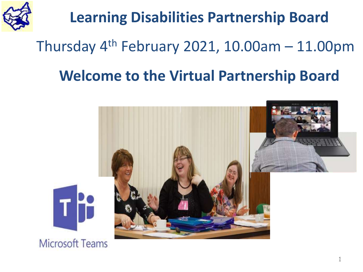

### **Learning Disabilities Partnership Board**

### Thursday  $4<sup>th</sup>$  February 2021, 10.00am - 11.00pm

#### **Welcome to the Virtual Partnership Board**

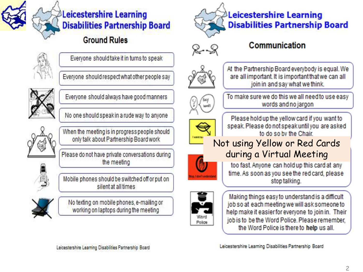

#### Leicestershire Learning **Disabilities Partnership Board**

#### **Ground Rules**



Everyone should take it in turns to speak

Everyone should respect what other people say



Everyone should always have good manners

No one should speak in a rude way to anyone



When the meeting is in progress people should only talk about Partnership Board work

Please do not have private conversations during the meeting

Mobile phones should be switched off or put on silent at all times



No texting on mobile phones, e-mailing or working on laptops during the meeting



#### Communication



At the Partnership Board everybody is equal. We are all important. It is important that we can all join in and say what we think.



To make sure we do this we all need to use easy words and no jargon

Please hold up the yellow card if you want to speak. Please do not speak until you are asked to do so by the Chair.

#### Not using Yellow or Red Cards during a Virtual Meeting



too fast. Anyone can hold up this card at any time. As soon as you see the red card, please stop talking.



Making things easy to understand is a difficult job so at each meeting we will ask someone to help make it easier for everyone to join in. Their job is to be the Word Police, Please remember, the Word Police is there to help us all.

Leicestershire Learning Disabilities Partnership Board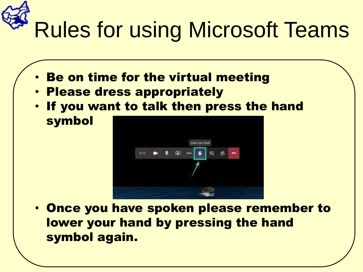# Rules for using Microsoft Teams

- **Be on time for the virtual meeting**
- Please dress appropriately
- If you want to talk then press the hand symbol



• Once you have spoken please remember to lower your hand by pressing the hand symbol again.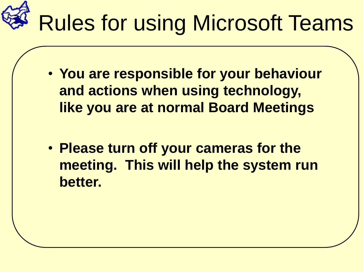

- **You are responsible for your behaviour and actions when using technology, like you are at normal Board Meetings**
- **Please turn off your cameras for the meeting. This will help the system run better.**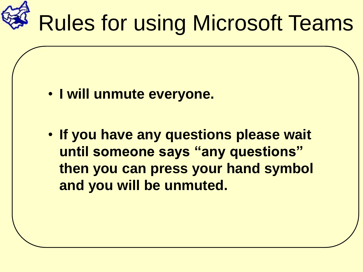

- **I will unmute everyone.**
- **If you have any questions please wait until someone says "any questions" then you can press your hand symbol and you will be unmuted.**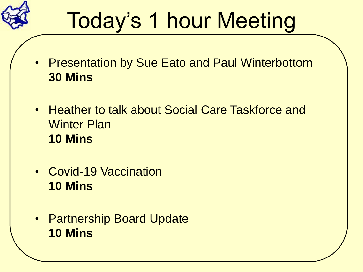

## Today's 1 hour Meeting

- Presentation by Sue Eato and Paul Winterbottom **30 Mins**
- Heather to talk about Social Care Taskforce and Winter Plan **10 Mins**
- Covid-19 Vaccination **10 Mins**
- Partnership Board Update **10 Mins**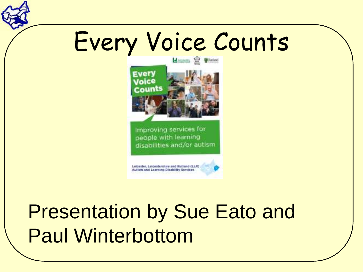## Every Voice Counts



Improving services for people with learning disabilities and/or autism.

Leicester, Leicestershire and Rutland (LLR) Authin and Learning Disability Services

### Presentation by Sue Eato and Paul Winterbottom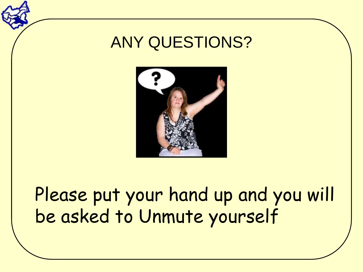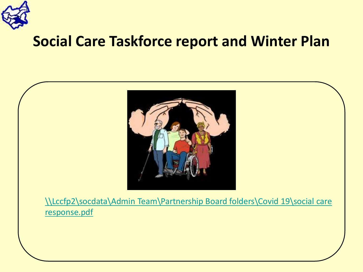

#### **Social Care Taskforce report and Winter Plan**



[\\Lccfp2\socdata\Admin Team\Partnership Board folders\Covid](file://Lccfp2/socdata/Admin Team/Partnership Board folders/Covid 19/social care response.pdf) 19\social care response.pdf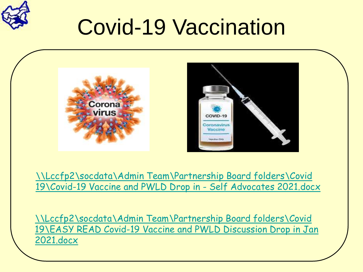

## Covid-19 Vaccination



[\\Lccfp2\socdata\Admin Team\Partnership Board folders\Covid](file://Lccfp2/socdata/Admin Team/Partnership Board folders/Covid 19/Covid-19 Vaccine and PWLD Drop in - Self Advocates 2021.docx)  19\Covid-19 Vaccine and PWLD Drop in - Self Advocates 2021.docx

\\Lccfp2\socdata\Admin Team\Partnership Board folders\Covid [19\EASY READ Covid-19 Vaccine and PWLD Discussion Drop in Jan](file://Lccfp2/socdata/Admin Team/Partnership Board folders/Covid 19/EASY READ Covid-19 Vaccine and PWLD Discussion Drop in Jan 2021.docx)  2021.docx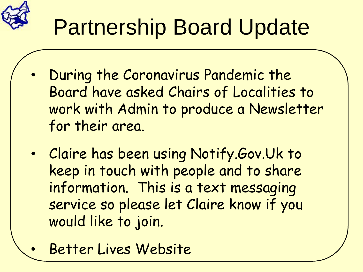

## Partnership Board Update

- During the Coronavirus Pandemic the Board have asked Chairs of Localities to work with Admin to produce a Newsletter for their area.
- Claire has been using Notify.Gov.Uk to keep in touch with people and to share information. This is a text messaging service so please let Claire know if you would like to join.
- Better Lives Website